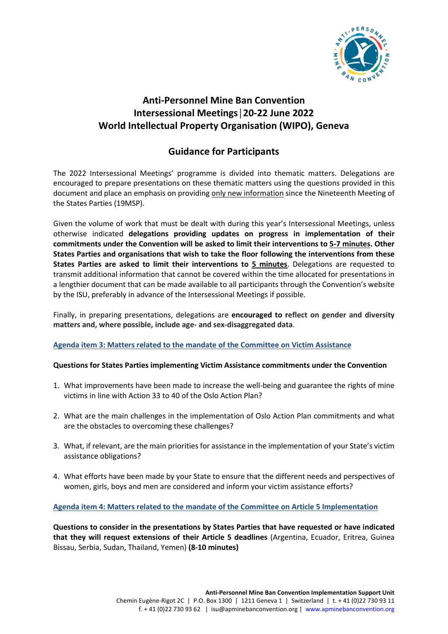

# **Anti-Personnel Mine Ban Convention Intersessional Meetings│20-22 June 2022 World Intellectual Property Organisation (WIPO), Geneva**

## **Guidance for Participants**

The 2022 Intersessional Meetings' programme is divided into thematic matters. Delegations are encouraged to prepare presentations on these thematic matters using the questions provided in this document and place an emphasis on providing only new information since the Nineteenth Meeting of the States Parties (19MSP).

Given the volume of work that must be dealt with during this year's Intersessional Meetings, unless otherwise indicated **delegations providing updates on progress in implementation of their commitments under the Convention will be asked to limit their interventions to 5-7 minutes. Other States Parties and organisations that wish to take the floor following the interventions from these States Parties are asked to limit their interventions to 5 minutes**. Delegations are requested to transmit additional information that cannot be covered within the time allocated for presentations in a lengthier document that can be made available to all participants through the Convention's website by the ISU, preferably in advance of the Intersessional Meetings if possible.

Finally, in preparing presentations, delegations are **encouraged to reflect on gender and diversity matters and, where possible, include age- and sex-disaggregated data**.

## **Agenda item 3: Matters related to the mandate of the Committee on Victim Assistance**

#### **Questions for States Parties implementing Victim Assistance commitments under the Convention**

- 1. What improvements have been made to increase the well-being and guarantee the rights of mine victims in line with Action 33 to 40 of the Oslo Action Plan?
- 2. What are the main challenges in the implementation of Oslo Action Plan commitments and what are the obstacles to overcoming these challenges?
- 3. What, if relevant, are the main priorities for assistance in the implementation of your State's victim assistance obligations?
- 4. What efforts have been made by your State to ensure that the different needs and perspectives of women, girls, boys and men are considered and inform your victim assistance efforts?

#### **Agenda item 4: Matters related to the mandate of the Committee on Article 5 Implementation**

**Questions to consider in the presentations by States Parties that have requested or have indicated that they will request extensions of their Article 5 deadlines** (Argentina, Ecuador, Eritrea, Guinea Bissau, Serbia, Sudan, Thailand, Yemen) **(8-10 minutes)**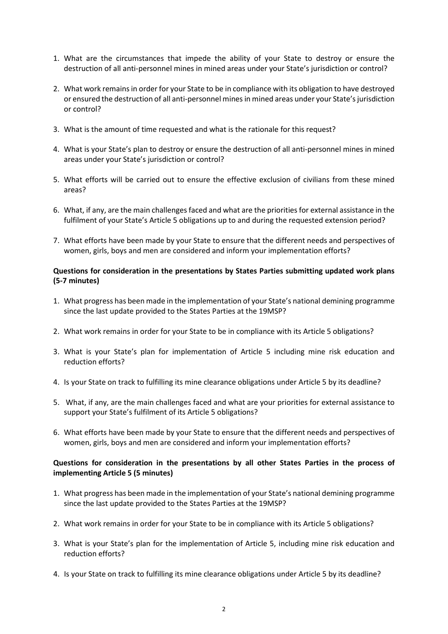- 1. What are the circumstances that impede the ability of your State to destroy or ensure the destruction of all anti-personnel mines in mined areas under your State's jurisdiction or control?
- 2. What work remains in order for your State to be in compliance with its obligation to have destroyed or ensured the destruction of all anti-personnel mines in mined areas under your State's jurisdiction or control?
- 3. What is the amount of time requested and what is the rationale for this request?
- 4. What is your State's plan to destroy or ensure the destruction of all anti-personnel mines in mined areas under your State's jurisdiction or control?
- 5. What efforts will be carried out to ensure the effective exclusion of civilians from these mined areas?
- 6. What, if any, are the main challenges faced and what are the priorities for external assistance in the fulfilment of your State's Article 5 obligations up to and during the requested extension period?
- 7. What efforts have been made by your State to ensure that the different needs and perspectives of women, girls, boys and men are considered and inform your implementation efforts?

## **Questions for consideration in the presentations by States Parties submitting updated work plans (5-7 minutes)**

- 1. What progress has been made in the implementation of your State's national demining programme since the last update provided to the States Parties at the 19MSP?
- 2. What work remains in order for your State to be in compliance with its Article 5 obligations?
- 3. What is your State's plan for implementation of Article 5 including mine risk education and reduction efforts?
- 4. Is your State on track to fulfilling its mine clearance obligations under Article 5 by its deadline?
- 5. What, if any, are the main challenges faced and what are your priorities for external assistance to support your State's fulfilment of its Article 5 obligations?
- 6. What efforts have been made by your State to ensure that the different needs and perspectives of women, girls, boys and men are considered and inform your implementation efforts?

## **Questions for consideration in the presentations by all other States Parties in the process of implementing Article 5 (5 minutes)**

- 1. What progress has been made in the implementation of your State's national demining programme since the last update provided to the States Parties at the 19MSP?
- 2. What work remains in order for your State to be in compliance with its Article 5 obligations?
- 3. What is your State's plan for the implementation of Article 5, including mine risk education and reduction efforts?
- 4. Is your State on track to fulfilling its mine clearance obligations under Article 5 by its deadline?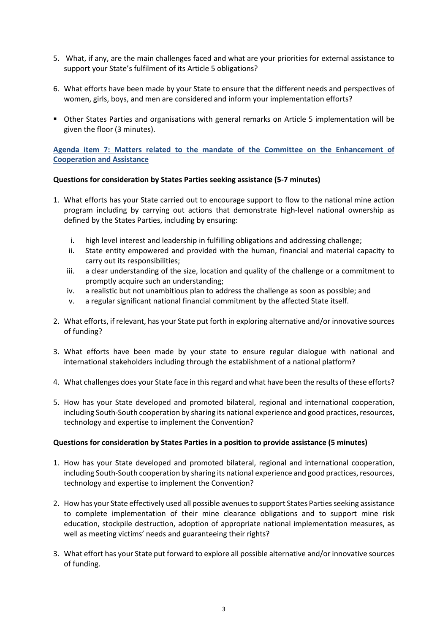- 5. What, if any, are the main challenges faced and what are your priorities for external assistance to support your State's fulfilment of its Article 5 obligations?
- 6. What efforts have been made by your State to ensure that the different needs and perspectives of women, girls, boys, and men are considered and inform your implementation efforts?
- Other States Parties and organisations with general remarks on Article 5 implementation will be given the floor (3 minutes).

**Agenda item 7: Matters related to the mandate of the Committee on the Enhancement of Cooperation and Assistance** 

#### **Questions for consideration by States Parties seeking assistance (5-7 minutes)**

- 1. What efforts has your State carried out to encourage support to flow to the national mine action program including by carrying out actions that demonstrate high-level national ownership as defined by the States Parties, including by ensuring:
	- i. high level interest and leadership in fulfilling obligations and addressing challenge;
	- ii. State entity empowered and provided with the human, financial and material capacity to carry out its responsibilities;
	- iii. a clear understanding of the size, location and quality of the challenge or a commitment to promptly acquire such an understanding;
	- iv. a realistic but not unambitious plan to address the challenge as soon as possible; and
	- v. a regular significant national financial commitment by the affected State itself.
- 2. What efforts, if relevant, has your State put forth in exploring alternative and/or innovative sources of funding?
- 3. What efforts have been made by your state to ensure regular dialogue with national and international stakeholders including through the establishment of a national platform?
- 4. What challenges does your State face in this regard and what have been the results of these efforts?
- 5. How has your State developed and promoted bilateral, regional and international cooperation, including South-South cooperation by sharing its national experience and good practices, resources, technology and expertise to implement the Convention?

#### **Questions for consideration by States Parties in a position to provide assistance (5 minutes)**

- 1. How has your State developed and promoted bilateral, regional and international cooperation, including South-South cooperation by sharing its national experience and good practices, resources, technology and expertise to implement the Convention?
- 2. How has your State effectively used all possible avenues to support States Parties seeking assistance to complete implementation of their mine clearance obligations and to support mine risk education, stockpile destruction, adoption of appropriate national implementation measures, as well as meeting victims' needs and guaranteeing their rights?
- 3. What effort has your State put forward to explore all possible alternative and/or innovative sources of funding.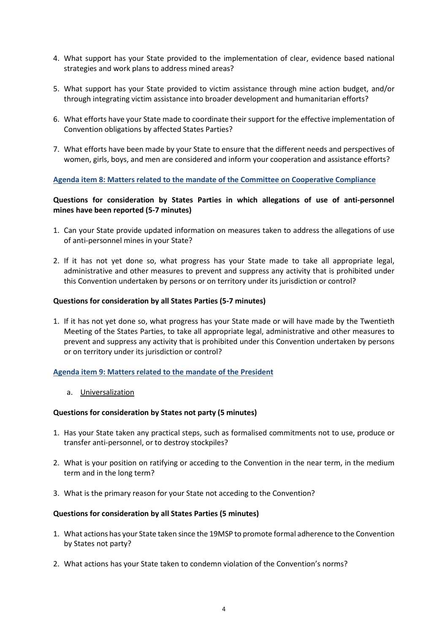- 4. What support has your State provided to the implementation of clear, evidence based national strategies and work plans to address mined areas?
- 5. What support has your State provided to victim assistance through mine action budget, and/or through integrating victim assistance into broader development and humanitarian efforts?
- 6. What efforts have your State made to coordinate their support for the effective implementation of Convention obligations by affected States Parties?
- 7. What efforts have been made by your State to ensure that the different needs and perspectives of women, girls, boys, and men are considered and inform your cooperation and assistance efforts?

#### **Agenda item 8: Matters related to the mandate of the Committee on Cooperative Compliance**

## **Questions for consideration by States Parties in which allegations of use of anti-personnel mines have been reported (5-7 minutes)**

- 1. Can your State provide updated information on measures taken to address the allegations of use of anti-personnel mines in your State?
- 2. If it has not yet done so, what progress has your State made to take all appropriate legal, administrative and other measures to prevent and suppress any activity that is prohibited under this Convention undertaken by persons or on territory under its jurisdiction or control?

#### **Questions for consideration by all States Parties (5-7 minutes)**

1. If it has not yet done so, what progress has your State made or will have made by the Twentieth Meeting of the States Parties, to take all appropriate legal, administrative and other measures to prevent and suppress any activity that is prohibited under this Convention undertaken by persons or on territory under its jurisdiction or control?

#### **Agenda item 9: Matters related to the mandate of the President**

a. Universalization

#### **Questions for consideration by States not party (5 minutes)**

- 1. Has your State taken any practical steps, such as formalised commitments not to use, produce or transfer anti-personnel, or to destroy stockpiles?
- 2. What is your position on ratifying or acceding to the Convention in the near term, in the medium term and in the long term?
- 3. What is the primary reason for your State not acceding to the Convention?

#### **Questions for consideration by all States Parties (5 minutes)**

- 1. What actions has your State taken since the 19MSP to promote formal adherence to the Convention by States not party?
- 2. What actions has your State taken to condemn violation of the Convention's norms?